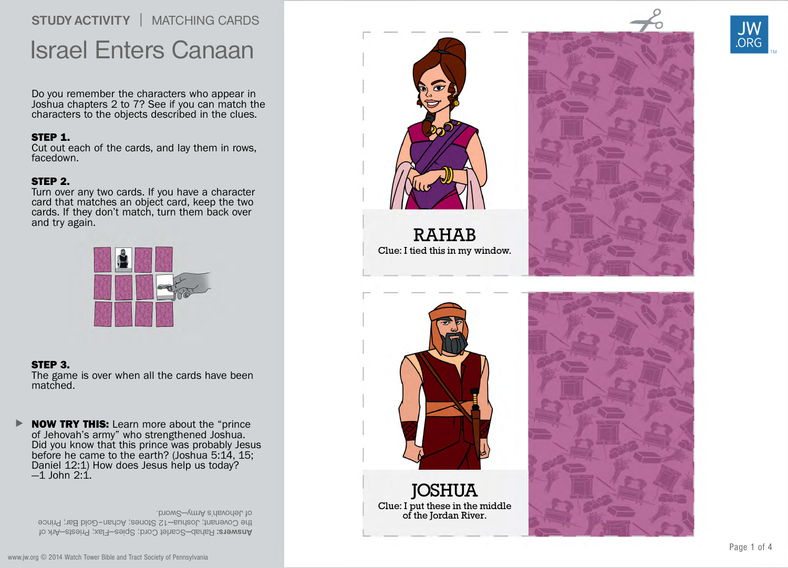## STUDY ACTIVITY | MATCHING CARDS Israel Enter s Canaan

Do you remember the character s who appear in Joshua chapter s 2 t o 7? See if you can match the character s t o the objects described in the clues.

SIEP 1.<br>Cut out each of the cards, and lay them in rows, facedown.

SIEP 2.<br>Turn over any two cards. If you have a character car d that matches an object card, keep the tw o cards. If the y don't match, tur n them back o ver and tr y again.



STEP 3. The game is o ver when all the cards ha v e been matched.

**NOW TRY THIS:** Learn more about the "prince" of Jeho vah ' s ar my" who strengthened Joshua. Did you kno w that this prince was probably Jesus befor e he came t o the earth? (Joshua 5: 14, 15; Daniel 12:1) Ho w does Jesus help us today? —1 John 2:1 .  $\blacktriangleright$ 

**Answers:** Rahab—Scarlet Cord; Spies—Flax; Priests—Ark of the Covenant; Joshua–12 Stones; Achan–Gold Bar; Prince . bnow2—ymnA e'rlsvorlal. to



R A HAB Clue: I tie d this in my windo w .



**JOSHUA** Clue: I put the s e in the middle of the Jordan Ri ver.





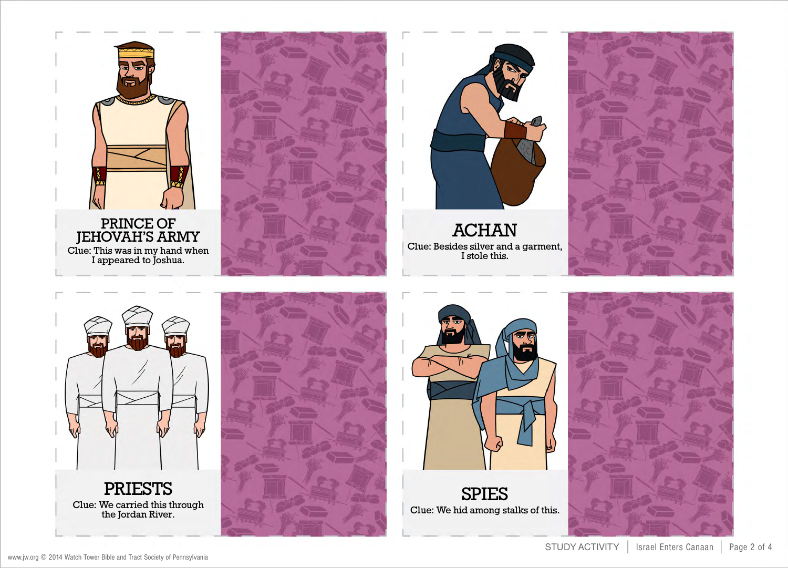





**ACHAN** Clue: Besides silver and a garment, I stole this.









SPIES Clue: We hid among stalks of this.

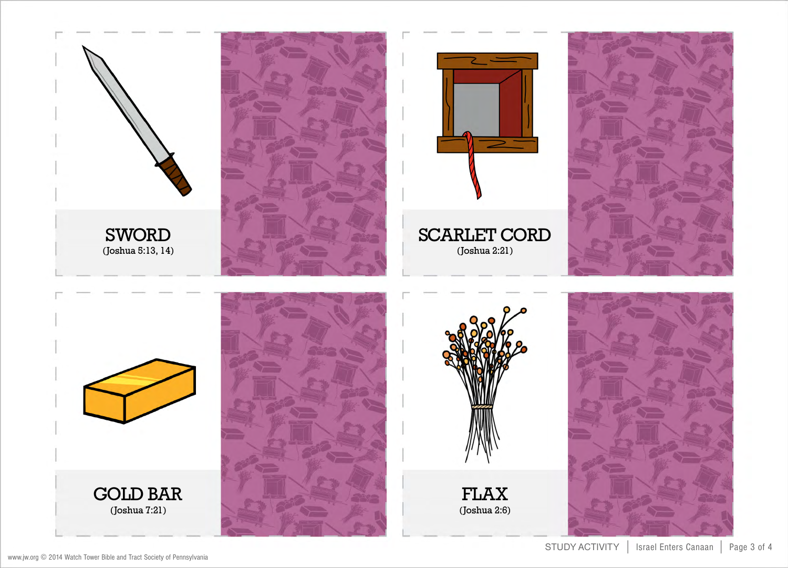